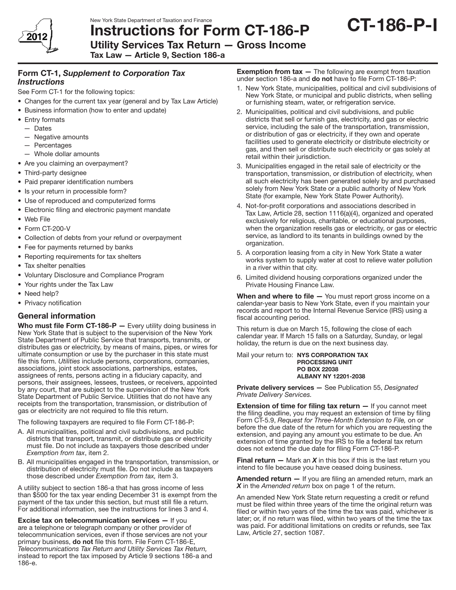

Utility Services Tax Return — Gross Income

Tax Law — Article 9, Section 186-a

# Form CT-1, *Supplement to Corporation Tax Instructions*

See Form CT-1 for the following topics:

- Changes for the current tax year (general and by Tax Law Article)
- Business information (how to enter and update)
- Entry formats
- — Dates
- $-$  Negative amounts
- — Percentages
- $-$  Whole dollar amounts
- Are you claiming an overpayment?
- Third-party designee
- Paid preparer identification numbers
- Is your return in processible form?
- Use of reproduced and computerized forms
- Electronic filing and electronic payment mandate
- Web File
- Form CT-200-V
- Collection of debts from your refund or overpayment
- Fee for payments returned by banks
- Reporting requirements for tax shelters
- Tax shelter penalties
- • Voluntary Disclosure and Compliance Program
- Your rights under the Tax Law
- Need help?
- Privacy notification

# General information

Who must file Form CT-186-P - Every utility doing business in New York State that is subject to the supervision of the New York State Department of Public Service that transports, transmits, or distributes gas or electricity, by means of mains, pipes, or wires for ultimate consumption or use by the purchaser in this state must file this form. *Utilities* include persons, corporations, companies, associations, joint stock associations, partnerships, estates, assignees of rents, persons acting in a fiduciary capacity, and persons, their assignees, lessees, trustees, or receivers, appointed by any court, that are subject to the supervision of the New York State Department of Public Service. Utilities that do not have any receipts from the transportation, transmission, or distribution of gas or electricity are not required to file this return.

The following taxpayers are required to file Form CT-186-P:

- A. All municipalities, political and civil subdivisions, and public districts that transport, transmit, or distribute gas or electricity must file. Do not include as taxpayers those described under *Exemption from tax*, item 2.
- B. All municipalities engaged in the transportation, transmission, or distribution of electricity must file. Do not include as taxpayers those described under *Exemption from tax,* item 3.

A utility subject to section 186-a that has gross income of less than \$500 for the tax year ending December 31 is exempt from the payment of the tax under this section, but must still file a return. For additional information, see the instructions for lines 3 and 4.

**Excise tax on telecommunication services**  $-$  **If you** are a telephone or telegraph company or other provider of telecommunication services, even if those services are not your primary business, **do not** file this form. File Form CT-186-E, *Telecommunications Tax Return and Utility Services Tax Return,* instead to report the tax imposed by Article 9 sections 186-a and 186-e.

**Exemption from tax**  $-$  The following are exempt from taxation under section 186-a and do not have to file Form CT-186-P:

- 1. New York State, municipalities, political and civil subdivisions of New York State, or municipal and public districts, when selling or furnishing steam, water, or refrigeration service.
- 2. Municipalities, political and civil subdivisions, and public districts that sell or furnish gas, electricity, and gas or electric service, including the sale of the transportation, transmission, or distribution of gas or electricity, if they own and operate facilities used to generate electricity or distribute electricity or gas, and then sell or distribute such electricity or gas solely at retail within their jurisdiction.
- 3. Municipalities engaged in the retail sale of electricity or the transportation, transmission, or distribution of electricity, when all such electricity has been generated solely by and purchased solely from New York State or a public authority of New York State (for example, New York State Power Authority).
- 4. Not-for-profit corporations and associations described in Tax Law, Article 28, section 1116(a)(4), organized and operated exclusively for religious, charitable, or educational purposes, when the organization resells gas or electricity, or gas or electric service, as landlord to its tenants in buildings owned by the organization.
- 5. A corporation leasing from a city in New York State a water works system to supply water at cost to relieve water pollution in a river within that city.
- 6. Limited dividend housing corporations organized under the Private Housing Finance Law.

**When and where to file**  $-$  You must report gross income on a calendar-year basis to New York State, even if you maintain your records and report to the Internal Revenue Service (IRS) using a fiscal accounting period.

This return is due on March 15, following the close of each calendar year. If March 15 falls on a Saturday, Sunday, or legal holiday, the return is due on the next business day.

Mail your return to: NYS CORPORATION TAX PROCESSING UNIT PO BOX 22038 ALBANY NY 12201-2038

Private delivery services — See Publication 55, *Designated Private Delivery Services.* 

**Extension of time for filing tax return**  $-$  If you cannot meet the filing deadline, you may request an extension of time by filing Form CT-5.9, *Request for Three-Month Extension to File,* on or before the due date of the return for which you are requesting the extension, and paying any amount you estimate to be due. An extension of time granted by the IRS to file a federal tax return does not extend the due date for filing Form CT-186-P.

**Final return**  $-$  Mark an **X** in this box if this is the last return you intend to file because you have ceased doing business.

Amended return - If you are filing an amended return, mark an *X* in the *Amended return* box on page 1 of the return.

An amended New York State return requesting a credit or refund must be filed within three years of the time the original return was filed or within two years of the time the tax was paid, whichever is later; or, if no return was filed, within two years of the time the tax was paid. For additional limitations on credits or refunds, see Tax Law, Article 27, section 1087.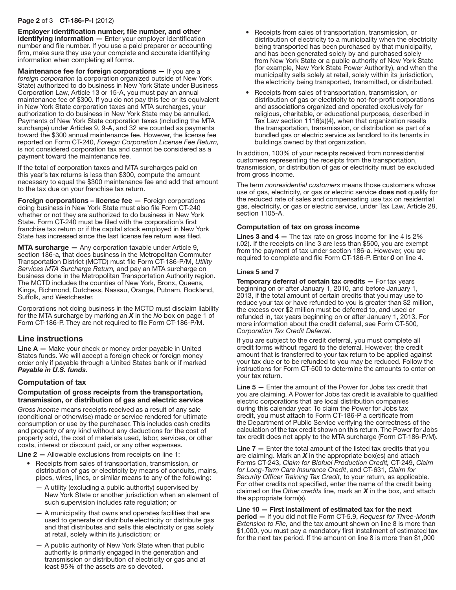#### Page 2 of 3 CT-186-P-I (2012)

Employer identification number, file number, and other  $identifying information - Enter your employer identification$ number and file number. If you use a paid preparer or accounting firm, make sure they use your complete and accurate identifying information when completing all forms.

Maintenance fee for foreign corporations - If you are a *foreign corporation* (a corporation organized outside of New York State) authorized to do business in New York State under Business Corporation Law, Article 13 or 15-A, you must pay an annual maintenance fee of \$300. If you do not pay this fee or its equivalent in New York State corporation taxes and MTA surcharges, your authorization to do business in New York State may be annulled. Payments of New York State corporation taxes (including the MTA surcharge) under Articles 9, 9‑A, and 32 are counted as payments toward the \$300 annual maintenance fee. However, the license fee reported on Form CT‑240, *Foreign Corporation License Fee Return,* is not considered corporation tax and cannot be considered as a payment toward the maintenance fee.

If the total of corporation taxes and MTA surcharges paid on this year's tax returns is less than \$300, compute the amount necessary to equal the \$300 maintenance fee and add that amount to the tax due on your franchise tax return.

Foreign corporations - license fee - Foreign corporations doing business in New York State must also file Form CT-240 whether or not they are authorized to do business in New York State. Form CT-240 must be filed with the corporation's first franchise tax return or if the capital stock employed in New York State has increased since the last license fee return was filed.

MTA surcharge — Any corporation taxable under Article 9, section 186-a, that does business in the Metropolitan Commuter Transportation District (MCTD) must file Form CT-186-P/M, *Utility Services MTA Surcharge Return,* and pay an MTA surcharge on business done in the Metropolitan Transportation Authority region. The MCTD includes the counties of New York, Bronx, Queens, Kings, Richmond, Dutchess, Nassau, Orange, Putnam, Rockland, Suffolk, and Westchester.

Corporations not doing business in the MCTD must disclaim liability for the MTA surcharge by marking an *X* in the *No* box on page 1 of Form CT‑186-P. They are not required to file Form CT-186-P/M.

## Line instructions

Line A - Make your check or money order payable in United States funds. We will accept a foreign check or foreign money order only if payable through a United States bank or if marked *Payable in U.S. funds.*

## Computation of tax

#### Computation of gross receipts from the transportation, transmission, or distribution of gas and electric service

*Gross income* means receipts received as a result of any sale (conditional or otherwise) made or service rendered for ultimate consumption or use by the purchaser. This includes cash credits and property of any kind without any deductions for the cost of property sold, the cost of materials used, labor, services, or other costs, interest or discount paid, or any other expenses.

Line 2 — Allowable exclusions from receipts on line 1:

- Receipts from sales of transportation, transmission, or distribution of gas or electricity by means of conduits, mains, pipes, wires, lines, or similar means to any of the following:
	- $-$  A utility (excluding a public authority) supervised by New York State or another jurisdiction when an element of such supervision includes rate regulation; or
	- $-$  A municipality that owns and operates facilities that are used to generate or distribute electricity or distribute gas and that distributes and sells this electricity or gas solely at retail, solely within its jurisdiction; or
	- A public authority of New York State when that public authority is primarily engaged in the generation and transmission or distribution of electricity or gas and at least 95% of the assets are so devoted.
- Receipts from sales of transportation, transmission, or distribution of electricity to a municipality when the electricity being transported has been purchased by that municipality, and has been generated solely by and purchased solely from New York State or a public authority of New York State (for example, New York State Power Authority), and when the municipality sells solely at retail, solely within its jurisdiction, the electricity being transported, transmitted, or distributed.
- Receipts from sales of transportation, transmission, or distribution of gas or electricity to not-for-profit corporations and associations organized and operated exclusively for religious, charitable, or educational purposes, described in Tax Law section 1116(a)(4), when that organization resells the transportation, transmission, or distribution as part of a bundled gas or electric service as landlord to its tenants in buildings owned by that organization.

In addition, 100% of your receipts received from nonresidential customers representing the receipts from the transportation, transmission, or distribution of gas or electricity must be excluded from gross income.

The term *nonresidential customers* means those customers whose use of gas, electricity, or gas or electric service does not qualify for the reduced rate of sales and compensating use tax on residential gas, electricity, or gas or electric service, under Tax Law, Article 28, section 1105-A.

### Computation of tax on gross income

**Lines 3 and 4 –** The tax rate on gross income for line 4 is  $2\%$ (.02). If the receipts on line 3 are less than \$500, you are exempt from the payment of tax under section 186-a. However, you are required to complete and file Form CT‑186‑P. Enter *0* on line 4.

### Lines 5 and 7

Temporary deferral of certain tax credits - For tax years beginning on or after January 1, 2010, and before January 1, 2013, if the total amount of certain credits that you may use to reduce your tax or have refunded to you is greater than \$2 million, the excess over \$2 million must be deferred to, and used or refunded in, tax years beginning on or after January 1, 2013. For more information about the credit deferral, see Form CT-500*, Corporation Tax Credit Deferral*.

If you are subject to the credit deferral, you must complete all credit forms without regard to the deferral. However, the credit amount that is transferred to your tax return to be applied against your tax due or to be refunded to you may be reduced. Follow the instructions for Form CT-500 to determine the amounts to enter on your tax return.

Line 5 — Enter the amount of the Power for Jobs tax credit that you are claiming. A Power for Jobs tax credit is available to qualified electric corporations that are local distribution companies during this calendar year. To claim the Power for Jobs tax credit, you must attach to Form CT‑186-P a certificate from the Department of Public Service verifying the correctness of the calculation of the tax credit shown on this return. The Power for Jobs tax credit does not apply to the MTA surcharge (Form CT-186-P/M).

Line 7 - Enter the total amount of the listed tax credits that you are claiming. Mark an *X* in the appropriate box(es) and attach Forms CT-243, *Claim for Biofuel Production Credit,* CT-249, *Claim for Long-Term Care Insurance Credit*, and CT-631, *Claim for Security Officer Training Tax Credit*, to your return, as applicable. For other credits not specified, enter the name of the credit being claimed on the *Other credits* line, mark an *X* in the box, and attach the appropriate form(s).

### Line 10 — First installment of estimated tax for the next

period — If you did not file Form CT-5.9, *Request for Three-Month Extension to File,* and the tax amount shown on line 8 is more than \$1,000, you must pay a mandatory first installment of estimated tax for the next tax period. If the amount on line 8 is more than \$1,000